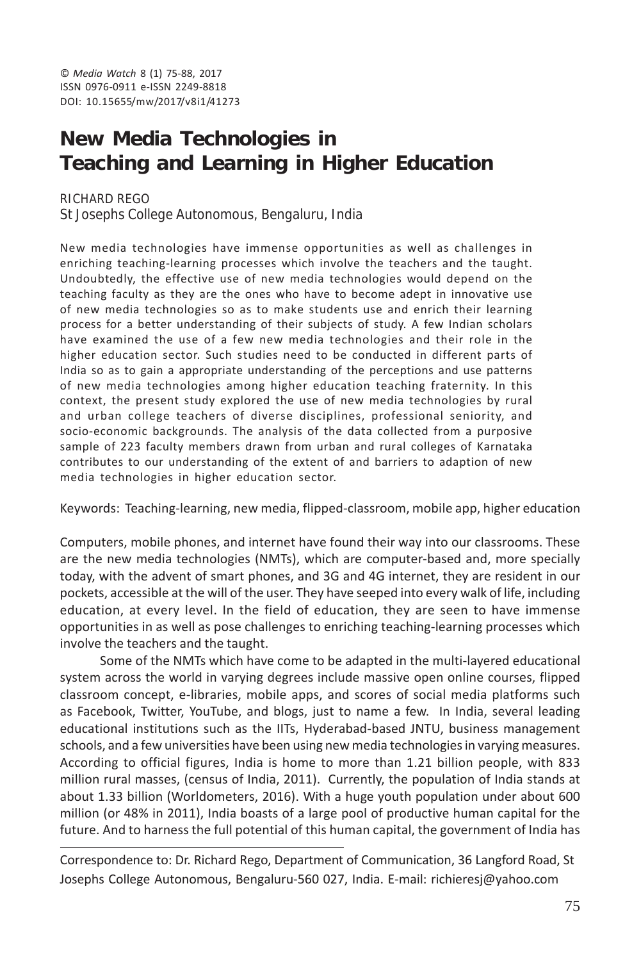© *Media Watch* 8 (1) 75-88, 2017 ISSN 0976-0911 e-ISSN 2249-8818 DOI: 10.15655/mw/2017/v8i1/41273

# **New Media Technologies in Teaching and Learning in Higher Education**

RICHARD REGO St Josephs College Autonomous, Bengaluru, India

New media technologies have immense opportunities as well as challenges in enriching teaching-learning processes which involve the teachers and the taught. Undoubtedly, the effective use of new media technologies would depend on the teaching faculty as they are the ones who have to become adept in innovative use of new media technologies so as to make students use and enrich their learning process for a better understanding of their subjects of study. A few Indian scholars have examined the use of a few new media technologies and their role in the higher education sector. Such studies need to be conducted in different parts of India so as to gain a appropriate understanding of the perceptions and use patterns of new media technologies among higher education teaching fraternity. In this context, the present study explored the use of new media technologies by rural and urban college teachers of diverse disciplines, professional seniority, and socio-economic backgrounds. The analysis of the data collected from a purposive sample of 223 faculty members drawn from urban and rural colleges of Karnataka contributes to our understanding of the extent of and barriers to adaption of new media technologies in higher education sector.

Keywords: Teaching-learning, new media, flipped-classroom, mobile app, higher education

Computers, mobile phones, and internet have found their way into our classrooms. These are the new media technologies (NMTs), which are computer-based and, more specially today, with the advent of smart phones, and 3G and 4G internet, they are resident in our pockets, accessible at the will of the user. They have seeped into every walk of life, including education, at every level. In the field of education, they are seen to have immense opportunities in as well as pose challenges to enriching teaching-learning processes which involve the teachers and the taught.

Some of the NMTs which have come to be adapted in the multi-layered educational system across the world in varying degrees include massive open online courses, flipped classroom concept, e-libraries, mobile apps, and scores of social media platforms such as Facebook, Twitter, YouTube, and blogs, just to name a few. In India, several leading educational institutions such as the IITs, Hyderabad-based JNTU, business management schools, and a few universities have been using new media technologies in varying measures. According to official figures, India is home to more than 1.21 billion people, with 833 million rural masses, (census of India, 2011). Currently, the population of India stands at about 1.33 billion (Worldometers, 2016). With a huge youth population under about 600 million (or 48% in 2011), India boasts of a large pool of productive human capital for the future. And to harness the full potential of this human capital, the government of India has

Correspondence to: Dr. Richard Rego, Department of Communication, 36 Langford Road, St Josephs College Autonomous, Bengaluru-560 027, India. E-mail: richieresj@yahoo.com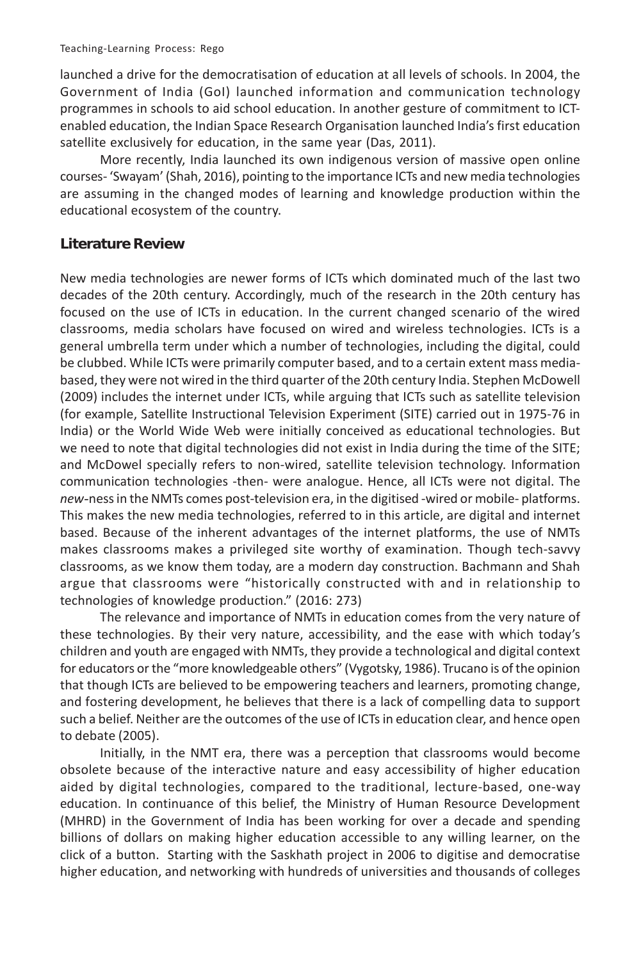launched a drive for the democratisation of education at all levels of schools. In 2004, the Government of India (GoI) launched information and communication technology programmes in schools to aid school education. In another gesture of commitment to ICTenabled education, the Indian Space Research Organisation launched India's first education satellite exclusively for education, in the same year (Das, 2011).

More recently, India launched its own indigenous version of massive open online courses- 'Swayam' (Shah, 2016), pointing to the importance ICTs and new media technologies are assuming in the changed modes of learning and knowledge production within the educational ecosystem of the country.

### **Literature Review**

New media technologies are newer forms of ICTs which dominated much of the last two decades of the 20th century. Accordingly, much of the research in the 20th century has focused on the use of ICTs in education. In the current changed scenario of the wired classrooms, media scholars have focused on wired and wireless technologies. ICTs is a general umbrella term under which a number of technologies, including the digital, could be clubbed. While ICTs were primarily computer based, and to a certain extent mass mediabased, they were not wired in the third quarter of the 20th century India. Stephen McDowell (2009) includes the internet under ICTs, while arguing that ICTs such as satellite television (for example, Satellite Instructional Television Experiment (SITE) carried out in 1975-76 in India) or the World Wide Web were initially conceived as educational technologies. But we need to note that digital technologies did not exist in India during the time of the SITE; and McDowel specially refers to non-wired, satellite television technology. Information communication technologies -then- were analogue. Hence, all ICTs were not digital. The *new-*ness in the NMTs comes post-television era, in the digitised -wired or mobile- platforms. This makes the new media technologies, referred to in this article, are digital and internet based. Because of the inherent advantages of the internet platforms, the use of NMTs makes classrooms makes a privileged site worthy of examination. Though tech-savvy classrooms, as we know them today, are a modern day construction. Bachmann and Shah argue that classrooms were "historically constructed with and in relationship to technologies of knowledge production." (2016: 273)

The relevance and importance of NMTs in education comes from the very nature of these technologies. By their very nature, accessibility, and the ease with which today's children and youth are engaged with NMTs, they provide a technological and digital context for educators or the "more knowledgeable others" (Vygotsky, 1986). Trucano is of the opinion that though ICTs are believed to be empowering teachers and learners, promoting change, and fostering development, he believes that there is a lack of compelling data to support such a belief. Neither are the outcomes of the use of ICTs in education clear, and hence open to debate (2005).

Initially, in the NMT era, there was a perception that classrooms would become obsolete because of the interactive nature and easy accessibility of higher education aided by digital technologies, compared to the traditional, lecture-based, one-way education. In continuance of this belief, the Ministry of Human Resource Development (MHRD) in the Government of India has been working for over a decade and spending billions of dollars on making higher education accessible to any willing learner, on the click of a button. Starting with the Saskhath project in 2006 to digitise and democratise higher education, and networking with hundreds of universities and thousands of colleges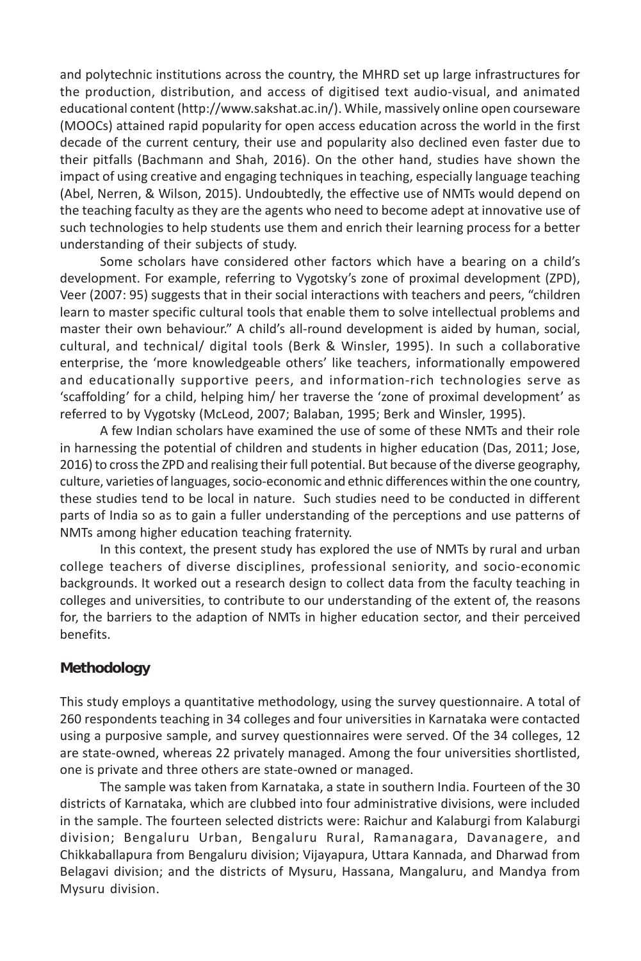and polytechnic institutions across the country, the MHRD set up large infrastructures for the production, distribution, and access of digitised text audio-visual, and animated educational content (http://www.sakshat.ac.in/). While, massively online open courseware (MOOCs) attained rapid popularity for open access education across the world in the first decade of the current century, their use and popularity also declined even faster due to their pitfalls (Bachmann and Shah, 2016). On the other hand, studies have shown the impact of using creative and engaging techniques in teaching, especially language teaching (Abel, Nerren, & Wilson, 2015). Undoubtedly, the effective use of NMTs would depend on the teaching faculty as they are the agents who need to become adept at innovative use of such technologies to help students use them and enrich their learning process for a better understanding of their subjects of study.

Some scholars have considered other factors which have a bearing on a child's development. For example, referring to Vygotsky's zone of proximal development (ZPD), Veer (2007: 95) suggests that in their social interactions with teachers and peers, "children learn to master specific cultural tools that enable them to solve intellectual problems and master their own behaviour." A child's all-round development is aided by human, social, cultural, and technical/ digital tools (Berk & Winsler, 1995). In such a collaborative enterprise, the 'more knowledgeable others' like teachers, informationally empowered and educationally supportive peers, and information-rich technologies serve as 'scaffolding' for a child, helping him/ her traverse the 'zone of proximal development' as referred to by Vygotsky (McLeod, 2007; Balaban, 1995; Berk and Winsler, 1995).

A few Indian scholars have examined the use of some of these NMTs and their role in harnessing the potential of children and students in higher education (Das, 2011; Jose, 2016) to cross the ZPD and realising their full potential. But because of the diverse geography, culture, varieties of languages, socio-economic and ethnic differences within the one country, these studies tend to be local in nature. Such studies need to be conducted in different parts of India so as to gain a fuller understanding of the perceptions and use patterns of NMTs among higher education teaching fraternity.

In this context, the present study has explored the use of NMTs by rural and urban college teachers of diverse disciplines, professional seniority, and socio-economic backgrounds. It worked out a research design to collect data from the faculty teaching in colleges and universities, to contribute to our understanding of the extent of, the reasons for, the barriers to the adaption of NMTs in higher education sector, and their perceived benefits.

# **Methodology**

This study employs a quantitative methodology, using the survey questionnaire. A total of 260 respondents teaching in 34 colleges and four universities in Karnataka were contacted using a purposive sample, and survey questionnaires were served. Of the 34 colleges, 12 are state-owned, whereas 22 privately managed. Among the four universities shortlisted, one is private and three others are state-owned or managed.

The sample was taken from Karnataka, a state in southern India. Fourteen of the 30 districts of Karnataka, which are clubbed into four administrative divisions, were included in the sample. The fourteen selected districts were: Raichur and Kalaburgi from Kalaburgi division; Bengaluru Urban, Bengaluru Rural, Ramanagara, Davanagere, and Chikkaballapura from Bengaluru division; Vijayapura, Uttara Kannada, and Dharwad from Belagavi division; and the districts of Mysuru, Hassana, Mangaluru, and Mandya from Mysuru division.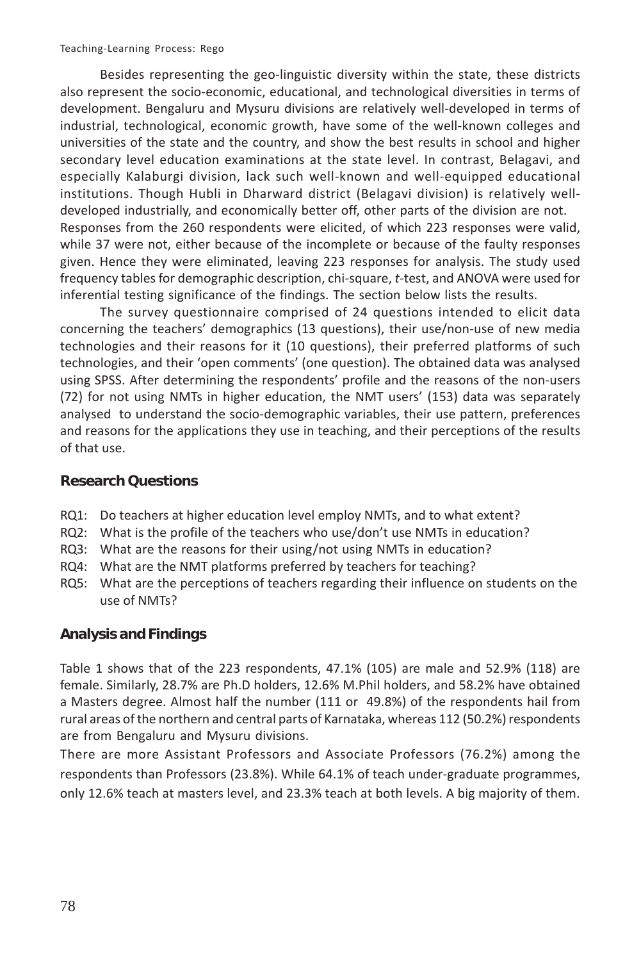Besides representing the geo-linguistic diversity within the state, these districts also represent the socio-economic, educational, and technological diversities in terms of development. Bengaluru and Mysuru divisions are relatively well-developed in terms of industrial, technological, economic growth, have some of the well-known colleges and universities of the state and the country, and show the best results in school and higher secondary level education examinations at the state level. In contrast, Belagavi, and especially Kalaburgi division, lack such well-known and well-equipped educational institutions. Though Hubli in Dharward district (Belagavi division) is relatively welldeveloped industrially, and economically better off, other parts of the division are not. Responses from the 260 respondents were elicited, of which 223 responses were valid, while 37 were not, either because of the incomplete or because of the faulty responses given. Hence they were eliminated, leaving 223 responses for analysis. The study used frequency tables for demographic description, chi-square, *t*-test, and ANOVA were used for inferential testing significance of the findings. The section below lists the results.

The survey questionnaire comprised of 24 questions intended to elicit data concerning the teachers' demographics (13 questions), their use/non-use of new media technologies and their reasons for it (10 questions), their preferred platforms of such technologies, and their 'open comments' (one question). The obtained data was analysed using SPSS. After determining the respondents' profile and the reasons of the non-users (72) for not using NMTs in higher education, the NMT users' (153) data was separately analysed to understand the socio-demographic variables, their use pattern, preferences and reasons for the applications they use in teaching, and their perceptions of the results of that use.

### **Research Questions**

- RQ1: Do teachers at higher education level employ NMTs, and to what extent?
- RQ2: What is the profile of the teachers who use/don't use NMTs in education?
- RQ3: What are the reasons for their using/not using NMTs in education?
- RQ4: What are the NMT platforms preferred by teachers for teaching?
- RQ5: What are the perceptions of teachers regarding their influence on students on the use of NMTs?

### **Analysis and Findings**

Table 1 shows that of the 223 respondents, 47.1% (105) are male and 52.9% (118) are female. Similarly, 28.7% are Ph.D holders, 12.6% M.Phil holders, and 58.2% have obtained a Masters degree. Almost half the number (111 or 49.8%) of the respondents hail from rural areas of the northern and central parts of Karnataka, whereas 112 (50.2%) respondents are from Bengaluru and Mysuru divisions.

There are more Assistant Professors and Associate Professors (76.2%) among the respondents than Professors (23.8%). While 64.1% of teach under-graduate programmes, only 12.6% teach at masters level, and 23.3% teach at both levels. A big majority of them.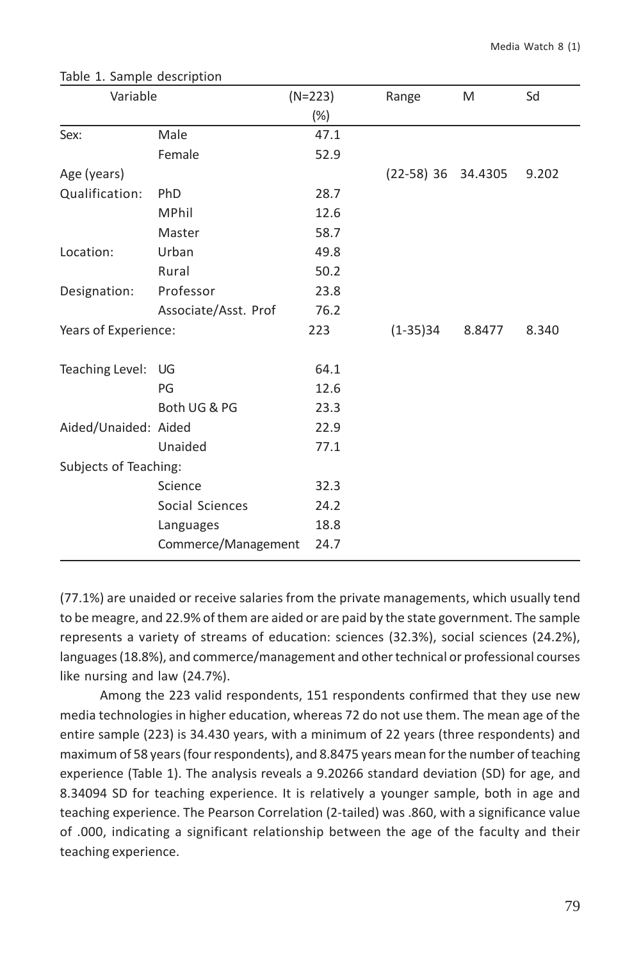| Variable              |                      | $(N=223)$ | Range              | M      | Sd    |
|-----------------------|----------------------|-----------|--------------------|--------|-------|
|                       |                      | $(\%)$    |                    |        |       |
| Sex:                  | Male                 | 47.1      |                    |        |       |
|                       | Female               | 52.9      |                    |        |       |
| Age (years)           |                      |           | (22-58) 36 34.4305 |        | 9.202 |
| Qualification:        | PhD                  | 28.7      |                    |        |       |
|                       | <b>MPhil</b>         | 12.6      |                    |        |       |
|                       | Master               | 58.7      |                    |        |       |
| Location:             | Urban                | 49.8      |                    |        |       |
|                       | Rural                | 50.2      |                    |        |       |
| Designation:          | Professor            | 23.8      |                    |        |       |
|                       | Associate/Asst. Prof | 76.2      |                    |        |       |
| Years of Experience:  |                      | 223       | $(1-35)34$         | 8.8477 | 8.340 |
| Teaching Level:       | UG                   | 64.1      |                    |        |       |
|                       | PG                   | 12.6      |                    |        |       |
|                       | Both UG & PG         | 23.3      |                    |        |       |
| Aided/Unaided: Aided  |                      | 22.9      |                    |        |       |
|                       | Unaided              | 77.1      |                    |        |       |
| Subjects of Teaching: |                      |           |                    |        |       |
|                       | Science              | 32.3      |                    |        |       |
|                       | Social Sciences      | 24.2      |                    |        |       |
|                       | Languages            | 18.8      |                    |        |       |
|                       | Commerce/Management  | 24.7      |                    |        |       |

#### Table 1. Sample description

(77.1%) are unaided or receive salaries from the private managements, which usually tend to be meagre, and 22.9% of them are aided or are paid by the state government. The sample represents a variety of streams of education: sciences (32.3%), social sciences (24.2%), languages (18.8%), and commerce/management and other technical or professional courses like nursing and law (24.7%).

Among the 223 valid respondents, 151 respondents confirmed that they use new media technologies in higher education, whereas 72 do not use them. The mean age of the entire sample (223) is 34.430 years, with a minimum of 22 years (three respondents) and maximum of 58 years (four respondents), and 8.8475 years mean for the number of teaching experience (Table 1). The analysis reveals a 9.20266 standard deviation (SD) for age, and 8.34094 SD for teaching experience. It is relatively a younger sample, both in age and teaching experience. The Pearson Correlation (2-tailed) was .860, with a significance value of .000, indicating a significant relationship between the age of the faculty and their teaching experience.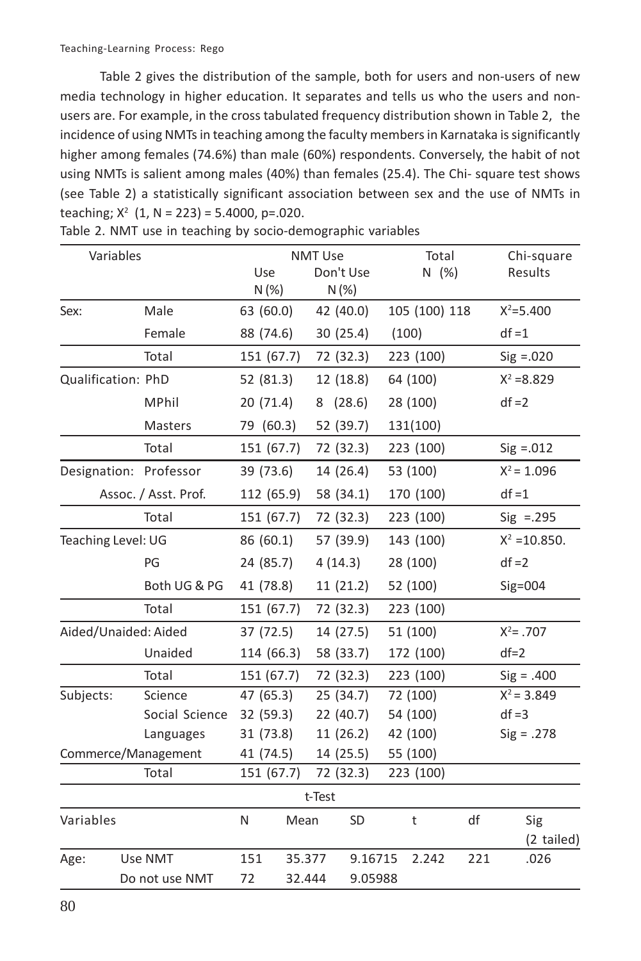Table 2 gives the distribution of the sample, both for users and non-users of new media technology in higher education. It separates and tells us who the users and nonusers are. For example, in the cross tabulated frequency distribution shown in Table 2, the incidence of using NMTs in teaching among the faculty members in Karnataka is significantly higher among females (74.6%) than male (60%) respondents. Conversely, the habit of not using NMTs is salient among males (40%) than females (25.4). The Chi- square test shows (see Table 2) a statistically significant association between sex and the use of NMTs in teaching; X2 (1, N = 223) = 5.4000, p=.020.

| Variables                |                        | <b>NMT Use</b> |                       |        | Total     | Chi-square |               |         |                  |  |
|--------------------------|------------------------|----------------|-----------------------|--------|-----------|------------|---------------|---------|------------------|--|
|                          |                        |                | Use<br>Don't Use      |        |           | $N$ (%)    |               | Results |                  |  |
|                          |                        | $N(\%)$        |                       |        | N(%)      |            |               |         |                  |  |
| Sex:                     | Male                   | 63 (60.0)      |                       |        | 42 (40.0) |            | 105 (100) 118 |         | $X^2 = 5.400$    |  |
|                          | Female                 | 88 (74.6)      |                       |        | 30(25.4)  |            | (100)         |         | $df = 1$         |  |
|                          | Total                  | 151 (67.7)     |                       |        | 72 (32.3) |            | 223 (100)     |         | $Sig = .020$     |  |
| Qualification: PhD       |                        | 52(81.3)       |                       |        | 12 (18.8) |            | 64 (100)      |         | $X^2 = 8.829$    |  |
|                          | MPhil                  | 20(71.4)       |                       |        | 8(28.6)   |            | 28 (100)      |         | $df = 2$         |  |
|                          | Masters                | 79 (60.3)      |                       |        | 52 (39.7) |            | 131(100)      |         |                  |  |
|                          | Total                  | 151 (67.7)     |                       |        | 72 (32.3) |            | 223 (100)     |         | $Sig = .012$     |  |
|                          | Designation: Professor | 39 (73.6)      |                       |        | 14 (26.4) |            | 53 (100)      |         | $X^2 = 1.096$    |  |
|                          | Assoc. / Asst. Prof.   | 112 (65.9)     |                       |        | 58 (34.1) |            | 170 (100)     |         | $df = 1$         |  |
| Total                    |                        | 151 (67.7)     |                       |        | 72 (32.3) |            | 223 (100)     |         | $Sig = .295$     |  |
| Teaching Level: UG<br>PG |                        | 86 (60.1)      |                       |        | 57 (39.9) |            | 143 (100)     |         | $X^2 = 10.850$ . |  |
|                          |                        | 24 (85.7)      |                       |        | 4(14.3)   |            | 28 (100)      |         | $df = 2$         |  |
| Both UG & PG             |                        |                | 41 (78.8)<br>11(21.2) |        |           | 52 (100)   |               |         | $Sig=004$        |  |
| Total                    |                        | 151 (67.7)     |                       |        | 72 (32.3) |            | 223 (100)     |         |                  |  |
|                          | Aided/Unaided: Aided   | 37 (72.5)      |                       |        | 14 (27.5) |            | 51 (100)      |         | $X^2 = .707$     |  |
|                          | Unaided                | 114 (66.3)     |                       |        | 58 (33.7) |            | 172 (100)     |         | $df=2$           |  |
|                          | Total                  | 151 (67.7)     |                       |        | 72 (32.3) |            | 223 (100)     |         | $Sig = .400$     |  |
| Subjects:                | Science                | 47 (65.3)      |                       |        | 25 (34.7) |            | 72 (100)      |         | $X^2 = 3.849$    |  |
|                          | Social Science         | 32 (59.3)      |                       |        | 22 (40.7) |            | 54 (100)      |         | $df = 3$         |  |
|                          | Languages              | 31 (73.8)      |                       |        | 11(26.2)  |            | 42 (100)      |         | $Sig = .278$     |  |
| Commerce/Management      |                        | 41 (74.5)      |                       |        | 14 (25.5) |            | 55 (100)      |         |                  |  |
|                          | Total                  | 151 (67.7)     |                       |        | 72 (32.3) |            | 223 (100)     |         |                  |  |
|                          |                        |                |                       | t-Test |           |            |               |         |                  |  |
| Variables                |                        | ${\sf N}$      | Mean                  |        | SD        |            | $\sf t$       | df      | Sig              |  |
|                          |                        |                |                       |        |           |            |               |         | (2 tailed)       |  |
| Age:                     | Use NMT                | 151            |                       | 35.377 | 9.16715   |            | 2.242         | 221     | .026             |  |
|                          | Do not use NMT         | 72             |                       | 32.444 | 9.05988   |            |               |         |                  |  |

|  |  | Table 2. NMT use in teaching by socio-demographic variables |  |
|--|--|-------------------------------------------------------------|--|
|  |  |                                                             |  |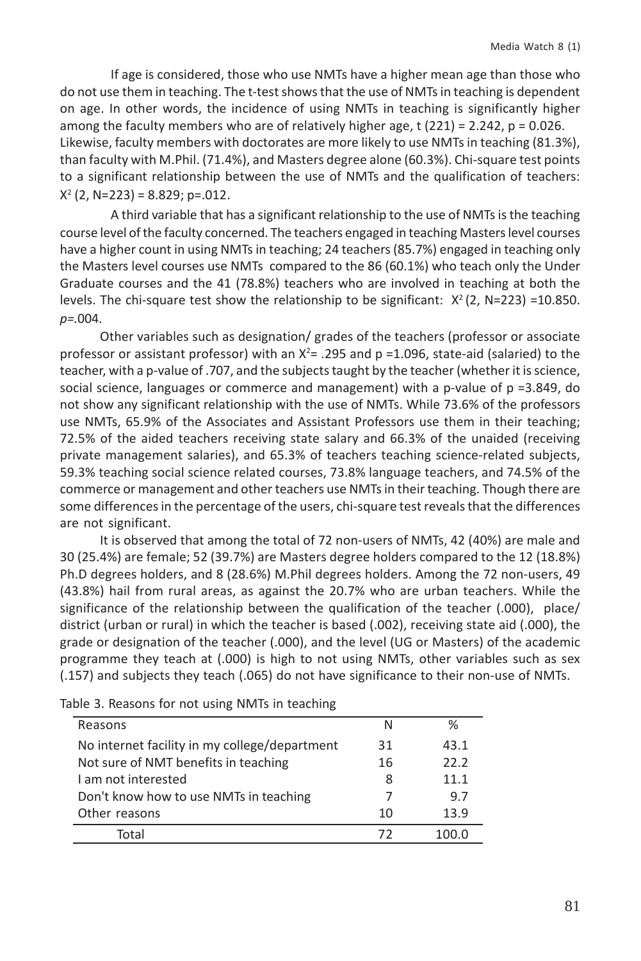If age is considered, those who use NMTs have a higher mean age than those who do not use them in teaching. The t-test shows that the use of NMTs in teaching is dependent on age. In other words, the incidence of using NMTs in teaching is significantly higher among the faculty members who are of relatively higher age,  $t$  (221) = 2.242,  $p = 0.026$ . Likewise, faculty members with doctorates are more likely to use NMTs in teaching (81.3%), than faculty with M.Phil. (71.4%), and Masters degree alone (60.3%). Chi-square test points to a significant relationship between the use of NMTs and the qualification of teachers: X2 (2, N=223) = 8.829; p=.012.

A third variable that has a significant relationship to the use of NMTs is the teaching course level of the faculty concerned. The teachers engaged in teaching Masters level courses have a higher count in using NMTs in teaching; 24 teachers (85.7%) engaged in teaching only the Masters level courses use NMTs compared to the 86 (60.1%) who teach only the Under Graduate courses and the 41 (78.8%) teachers who are involved in teaching at both the levels. The chi-square test show the relationship to be significant:  $X^2$  (2, N=223) =10.850. *p=.*004.

Other variables such as designation/ grades of the teachers (professor or associate professor or assistant professor) with an  $X^2 = .295$  and p =1.096, state-aid (salaried) to the teacher, with a p-value of .707, and the subjects taught by the teacher (whether it is science, social science, languages or commerce and management) with a p-value of p =3.849, do not show any significant relationship with the use of NMTs. While 73.6% of the professors use NMTs, 65.9% of the Associates and Assistant Professors use them in their teaching; 72.5% of the aided teachers receiving state salary and 66.3% of the unaided (receiving private management salaries), and 65.3% of teachers teaching science-related subjects, 59.3% teaching social science related courses, 73.8% language teachers, and 74.5% of the commerce or management and other teachers use NMTs in their teaching. Though there are some differences in the percentage of the users, chi-square test reveals that the differences are not significant.

It is observed that among the total of 72 non-users of NMTs, 42 (40%) are male and 30 (25.4%) are female; 52 (39.7%) are Masters degree holders compared to the 12 (18.8%) Ph.D degrees holders, and 8 (28.6%) M.Phil degrees holders. Among the 72 non-users, 49 (43.8%) hail from rural areas, as against the 20.7% who are urban teachers. While the significance of the relationship between the qualification of the teacher (.000), place/ district (urban or rural) in which the teacher is based (.002), receiving state aid (.000), the grade or designation of the teacher (.000), and the level (UG or Masters) of the academic programme they teach at (.000) is high to not using NMTs, other variables such as sex (.157) and subjects they teach (.065) do not have significance to their non-use of NMTs.

| Reasons                                       | N  | ℅     |
|-----------------------------------------------|----|-------|
| No internet facility in my college/department | 31 | 43.1  |
| Not sure of NMT benefits in teaching          | 16 | 22.2  |
| I am not interested                           | 8  | 11.1  |
| Don't know how to use NMTs in teaching        | 7  | 9.7   |
| Other reasons                                 | 10 | 13.9  |
| Total                                         | 72 | 100.0 |
|                                               |    |       |

Table 3. Reasons for not using NMTs in teaching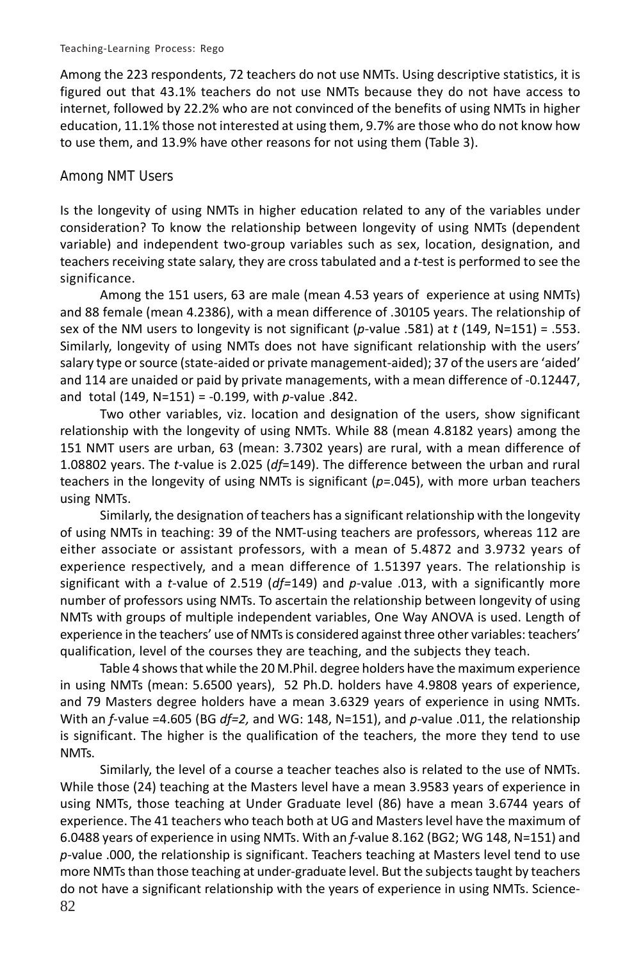Among the 223 respondents, 72 teachers do not use NMTs. Using descriptive statistics, it is figured out that 43.1% teachers do not use NMTs because they do not have access to internet, followed by 22.2% who are not convinced of the benefits of using NMTs in higher education, 11.1% those not interested at using them, 9.7% are those who do not know how to use them, and 13.9% have other reasons for not using them (Table 3).

# Among NMT Users

Is the longevity of using NMTs in higher education related to any of the variables under consideration? To know the relationship between longevity of using NMTs (dependent variable) and independent two-group variables such as sex, location, designation, and teachers receiving state salary, they are cross tabulated and a *t-*test is performed to see the significance.

Among the 151 users, 63 are male (mean 4.53 years of experience at using NMTs) and 88 female (mean 4.2386), with a mean difference of .30105 years. The relationship of sex of the NM users to longevity is not significant (*p-*value .581) at *t* (149, N=151) = .553. Similarly, longevity of using NMTs does not have significant relationship with the users' salary type or source (state-aided or private management-aided); 37 of the users are 'aided' and 114 are unaided or paid by private managements, with a mean difference of -0.12447, and total (149, N=151) = -0.199, with *p-*value .842.

Two other variables, viz. location and designation of the users, show significant relationship with the longevity of using NMTs. While 88 (mean 4.8182 years) among the 151 NMT users are urban, 63 (mean: 3.7302 years) are rural, with a mean difference of 1.08802 years. The *t-*value is 2.025 (*df*=149). The difference between the urban and rural teachers in the longevity of using NMTs is significant (*p*=.045), with more urban teachers using NMTs.

Similarly, the designation of teachers has a significant relationship with the longevity of using NMTs in teaching: 39 of the NMT-using teachers are professors, whereas 112 are either associate or assistant professors, with a mean of 5.4872 and 3.9732 years of experience respectively, and a mean difference of 1.51397 years. The relationship is significant with a *t-*value of 2.519 (*df=*149) and *p-*value .013, with a significantly more number of professors using NMTs. To ascertain the relationship between longevity of using NMTs with groups of multiple independent variables, One Way ANOVA is used. Length of experience in the teachers' use of NMTs is considered against three other variables: teachers' qualification, level of the courses they are teaching, and the subjects they teach.

Table 4 shows that while the 20 M.Phil. degree holders have the maximum experience in using NMTs (mean: 5.6500 years), 52 Ph.D. holders have 4.9808 years of experience, and 79 Masters degree holders have a mean 3.6329 years of experience in using NMTs. With an *f-*value =4.605 (BG *df=2,* and WG: 148, N=151), and *p-*value .011, the relationship is significant. The higher is the qualification of the teachers, the more they tend to use NMTs.

82 Similarly, the level of a course a teacher teaches also is related to the use of NMTs. While those (24) teaching at the Masters level have a mean 3.9583 years of experience in using NMTs, those teaching at Under Graduate level (86) have a mean 3.6744 years of experience. The 41 teachers who teach both at UG and Masters level have the maximum of 6.0488 years of experience in using NMTs. With an *f-*value 8.162 (BG2; WG 148, N=151) and *p-*value .000, the relationship is significant. Teachers teaching at Masters level tend to use more NMTs than those teaching at under-graduate level. But the subjects taught by teachers do not have a significant relationship with the years of experience in using NMTs. Science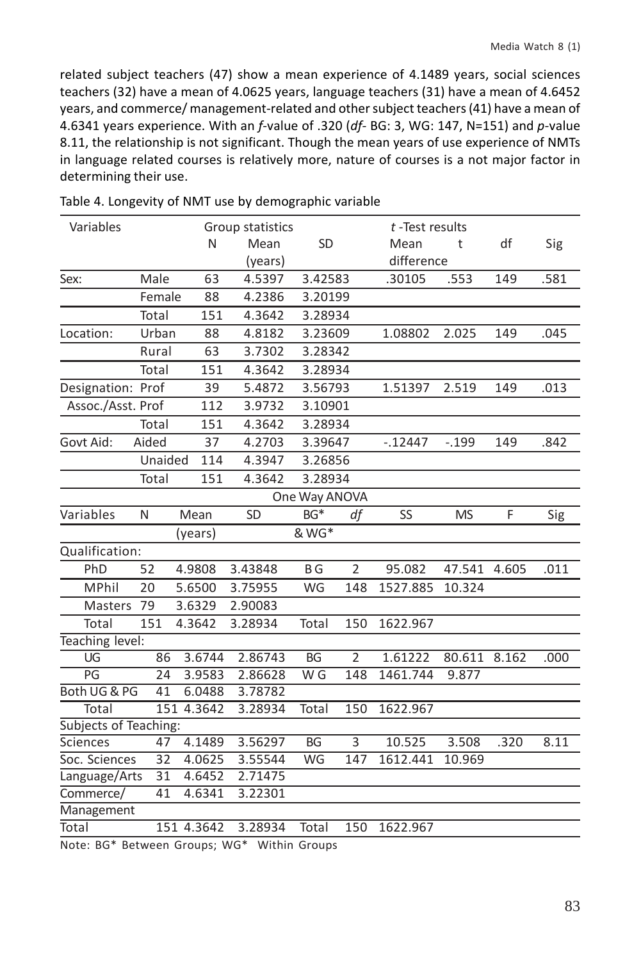related subject teachers (47) show a mean experience of 4.1489 years, social sciences teachers (32) have a mean of 4.0625 years, language teachers (31) have a mean of 4.6452 years, and commerce/ management-related and other subject teachers (41) have a mean of 4.6341 years experience. With an *f-*value of .320 (*df-* BG: 3, WG: 147, N=151) and *p-*value 8.11, the relationship is not significant. Though the mean years of use experience of NMTs in language related courses is relatively more, nature of courses is a not major factor in determining their use.

| Variables                  |                 |                  | Group statistics   |                  |                | $t$ -Test results |           |       |      |
|----------------------------|-----------------|------------------|--------------------|------------------|----------------|-------------------|-----------|-------|------|
|                            |                 | N                | Mean               | <b>SD</b>        |                | Mean              | t         | df    | Sig  |
|                            |                 |                  | (years)            |                  |                | difference        |           |       |      |
| Sex:                       | Male            | 63               | 4.5397             | 3.42583          |                | .30105            | .553      | 149   | .581 |
|                            | Female          | 88               | 4.2386             | 3.20199          |                |                   |           |       |      |
|                            | Total           | 151              | 4.3642             | 3.28934          |                |                   |           |       |      |
| Location:                  | Urban           | 88               | 4.8182             | 3.23609          |                | 1.08802           | 2.025     | 149   | .045 |
|                            | Rural           | 63               | 3.7302             | 3.28342          |                |                   |           |       |      |
|                            | Total           | 151              | 4.3642             | 3.28934          |                |                   |           |       |      |
| Designation: Prof          |                 | 39               | 5.4872             | 3.56793          |                | 1.51397           | 2.519     | 149   | .013 |
| Assoc./Asst. Prof          |                 | 112              | 3.9732             | 3.10901          |                |                   |           |       |      |
|                            | Total           | 151              | 4.3642             | 3.28934          |                |                   |           |       |      |
| Govt Aid:                  | Aided           | 37               | 4.2703             | 3.39647          |                | $-12447$          | $-.199$   | 149   | .842 |
|                            | Unaided         | 114              | 4.3947             | 3.26856          |                |                   |           |       |      |
|                            | Total           | 151              | 4.3642             | 3.28934          |                |                   |           |       |      |
|                            |                 |                  |                    | One Way ANOVA    |                |                   |           |       |      |
| Variables                  | N               | Mean             | <b>SD</b>          | BG*              | df             | SS                | <b>MS</b> | F     | Sig  |
|                            |                 | (years)          |                    | & WG*            |                |                   |           |       |      |
| Qualification:             |                 |                  |                    |                  |                |                   |           |       |      |
| PhD                        | 52              | 4.9808           | 3.43848            | B G              | $\overline{2}$ | 95.082            | 47.541    | 4.605 | .011 |
| MPhil                      | 20              | 5.6500           | 3.75955            | WG               | 148            | 1527.885          | 10.324    |       |      |
| Masters                    | 79              | 3.6329           | 2.90083            |                  |                |                   |           |       |      |
| Total                      | 151             | 4.3642           | 3.28934            | Total            | 150            | 1622.967          |           |       |      |
| Teaching level:            |                 |                  |                    |                  |                |                   |           |       |      |
| UG                         | 86              | 3.6744           | 2.86743            | $\overline{BG}$  | $\overline{2}$ | 1.61222           | 80.611    | 8.162 | .000 |
| PG                         | 24              | 3.9583           | 2.86628            | $\overline{W}$ G | 148            | 1461.744          | 9.877     |       |      |
| Both UG & PG               | 41              | 6.0488           | 3.78782            |                  |                |                   |           |       |      |
| Total                      |                 | 151 4.3642       | 3.28934            | Total            | 150            | 1622.967          |           |       |      |
| Subjects of Teaching:      |                 |                  |                    |                  |                |                   |           |       |      |
| Sciences                   | $4\overline{7}$ | 4.1489           | 3.56297            | <b>BG</b>        | 3              | 10.525            | 3.508     | .320  | 8.11 |
| Soc. Sciences              | $\overline{32}$ | 4.0625           | 3.55544            | <b>WG</b>        | 147            | 1612.441          | 10.969    |       |      |
| Language/Arts<br>Commerce/ | 31<br>41        | 4.6452<br>4.6341 | 2.71475<br>3.22301 |                  |                |                   |           |       |      |
| Management                 |                 |                  |                    |                  |                |                   |           |       |      |
| Total                      |                 | 151 4.3642       | 3.28934            | Total            | 150            | 1622.967          |           |       |      |
|                            |                 |                  |                    |                  |                |                   |           |       |      |

Table 4. Longevity of NMT use by demographic variable

Note: BG\* Between Groups; WG\* Within Groups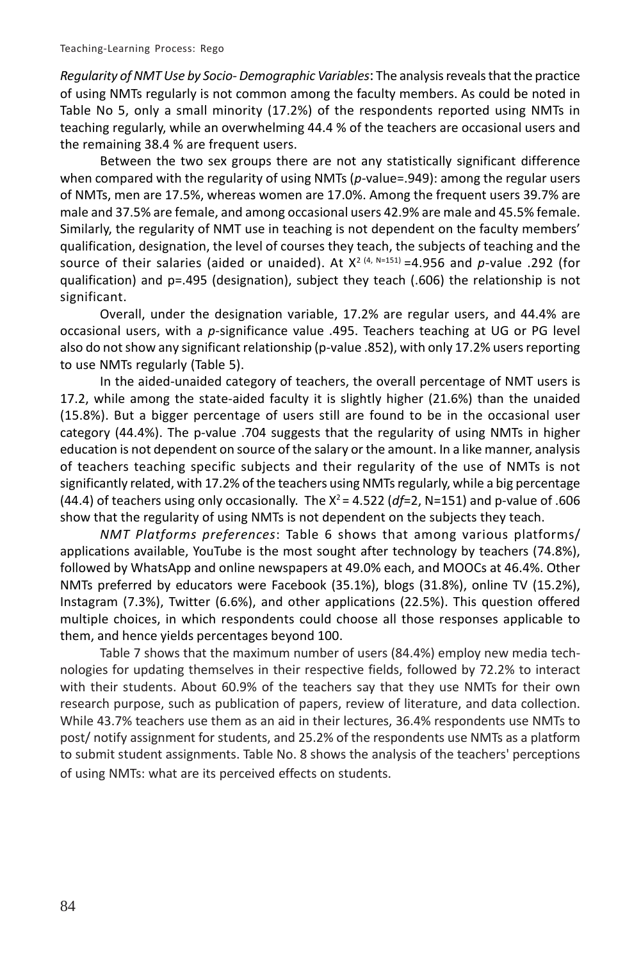*Regularity of NMT Use by Socio- Demographic Variables*: The analysis reveals that the practice of using NMTs regularly is not common among the faculty members. As could be noted in Table No 5, only a small minority (17.2%) of the respondents reported using NMTs in teaching regularly, while an overwhelming 44.4 % of the teachers are occasional users and the remaining 38.4 % are frequent users.

Between the two sex groups there are not any statistically significant difference when compared with the regularity of using NMTs (*p-*value=.949): among the regular users of NMTs, men are 17.5%, whereas women are 17.0%. Among the frequent users 39.7% are male and 37.5% are female, and among occasional users 42.9% are male and 45.5% female. Similarly, the regularity of NMT use in teaching is not dependent on the faculty members' qualification, designation, the level of courses they teach, the subjects of teaching and the source of their salaries (aided or unaided). At X2 (4, N=151) =4.956 and *p*-value .292 (for qualification) and p=.495 (designation), subject they teach (.606) the relationship is not significant.

Overall, under the designation variable, 17.2% are regular users, and 44.4% are occasional users, with a *p*-significance value .495. Teachers teaching at UG or PG level also do not show any significant relationship (p-value .852), with only 17.2% users reporting to use NMTs regularly (Table 5).

In the aided-unaided category of teachers, the overall percentage of NMT users is 17.2, while among the state-aided faculty it is slightly higher (21.6%) than the unaided (15.8%). But a bigger percentage of users still are found to be in the occasional user category (44.4%). The p-value .704 suggests that the regularity of using NMTs in higher education is not dependent on source of the salary or the amount. In a like manner, analysis of teachers teaching specific subjects and their regularity of the use of NMTs is not significantly related, with 17.2% of the teachers using NMTs regularly, while a big percentage (44.4) of teachers using only occasionally. The  $X^2 = 4.522$  ( $df=2$ , N=151) and p-value of .606 show that the regularity of using NMTs is not dependent on the subjects they teach.

*NMT Platforms preferences*: Table 6 shows that among various platforms/ applications available, YouTube is the most sought after technology by teachers (74.8%), followed by WhatsApp and online newspapers at 49.0% each, and MOOCs at 46.4%. Other NMTs preferred by educators were Facebook (35.1%), blogs (31.8%), online TV (15.2%), Instagram (7.3%), Twitter (6.6%), and other applications (22.5%). This question offered multiple choices, in which respondents could choose all those responses applicable to them, and hence yields percentages beyond 100.

Table 7 shows that the maximum number of users (84.4%) employ new media technologies for updating themselves in their respective fields, followed by 72.2% to interact with their students. About 60.9% of the teachers say that they use NMTs for their own research purpose, such as publication of papers, review of literature, and data collection. While 43.7% teachers use them as an aid in their lectures, 36.4% respondents use NMTs to post/ notify assignment for students, and 25.2% of the respondents use NMTs as a platform to submit student assignments. Table No. 8 shows the analysis of the teachers' perceptions of using NMTs: what are its perceived effects on students.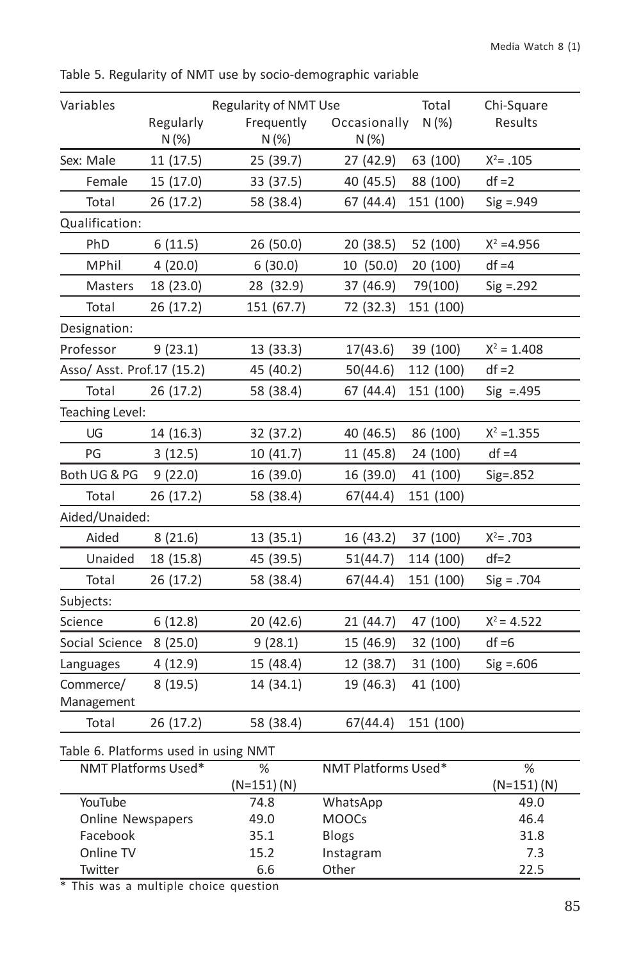| Variables                                                          |           | Regularity of NMT Use |                            | Total     | Chi-Square    |
|--------------------------------------------------------------------|-----------|-----------------------|----------------------------|-----------|---------------|
|                                                                    | Regularly | Frequently            | Occasionally               | N(%)      | Results       |
|                                                                    | $N(\%)$   | N(%)                  | N (%)                      |           |               |
| Sex: Male                                                          | 11 (17.5) | 25 (39.7)             | 27 (42.9)                  | 63 (100)  | $X^2 = .105$  |
| Female                                                             | 15 (17.0) | 33 (37.5)             | 40 (45.5)                  | 88 (100)  | $df = 2$      |
| Total                                                              | 26 (17.2) | 58 (38.4)             | 67 (44.4)                  | 151 (100) | $Sig = .949$  |
| Qualification:                                                     |           |                       |                            |           |               |
| PhD                                                                | 6(11.5)   | 26 (50.0)             | 20(38.5)                   | 52 (100)  | $X^2 = 4.956$ |
| MPhil                                                              | 4(20.0)   | 6(30.0)               | 10 (50.0)                  | 20 (100)  | $df = 4$      |
| Masters                                                            | 18 (23.0) | 28 (32.9)             | 37 (46.9)                  | 79(100)   | $Sig = .292$  |
| Total                                                              | 26 (17.2) | 151 (67.7)            | 72 (32.3)                  | 151 (100) |               |
| Designation:                                                       |           |                       |                            |           |               |
| Professor                                                          | 9(23.1)   | 13 (33.3)             | 17(43.6)                   | 39 (100)  | $X^2 = 1.408$ |
| Asso/ Asst. Prof.17 (15.2)                                         |           | 45 (40.2)             | 50(44.6)                   | 112 (100) | $df = 2$      |
| Total                                                              | 26(17.2)  | 58 (38.4)             | 67 (44.4)                  | 151 (100) | $Sig = .495$  |
| Teaching Level:                                                    |           |                       |                            |           |               |
| UG                                                                 | 14 (16.3) | 32 (37.2)             | 40 (46.5)                  | 86 (100)  | $X^2 = 1.355$ |
| PG                                                                 | 3(12.5)   | 10 (41.7)             | 11 (45.8)                  | 24 (100)  | $df = 4$      |
| Both UG & PG                                                       | 9(22.0)   | 16 (39.0)             | 16 (39.0)                  | 41 (100)  | Sig=.852      |
| Total                                                              | 26 (17.2) | 58 (38.4)             | 67(44.4)                   | 151 (100) |               |
| Aided/Unaided:                                                     |           |                       |                            |           |               |
| Aided                                                              | 8(21.6)   | 13 (35.1)             | 16 (43.2)                  | 37 (100)  | $X^2 = .703$  |
| Unaided                                                            | 18 (15.8) | 45 (39.5)             | 51(44.7)                   | 114 (100) | $df = 2$      |
| Total                                                              | 26 (17.2) | 58 (38.4)             | 67(44.4)                   | 151 (100) | $Sig = .704$  |
| Subjects:                                                          |           |                       |                            |           |               |
| Science                                                            | 6(12.8)   | 20 (42.6)             | 21 (44.7)                  | 47 (100)  | $X^2 = 4.522$ |
| Social Science                                                     | 8(25.0)   | 9(28.1)               | 15 (46.9)                  | 32 (100)  | $df = 6$      |
| Languages                                                          | 4(12.9)   | 15 (48.4)             | 12 (38.7)                  | 31 (100)  | $Sig = .606$  |
| Commerce/<br>Management                                            | 8(19.5)   | 14 (34.1)             | 19 (46.3)                  | 41 (100)  |               |
| Total                                                              | 26 (17.2) | 58 (38.4)             | 67(44.4)                   | 151 (100) |               |
|                                                                    |           |                       |                            |           |               |
| Table 6. Platforms used in using NMT<br><b>NMT Platforms Used*</b> |           | %                     | <b>NMT Platforms Used*</b> |           | $\frac{9}{6}$ |
|                                                                    |           | $(N=151)$ (N)         |                            |           | $(N=151)$ (N) |
| YouTube                                                            |           | 74.8                  | WhatsApp                   |           | 49.0          |
| Online Newspapers                                                  |           | 49.0                  | <b>MOOCs</b>               |           | 46.4          |
| Facebook                                                           |           | 35.1                  | <b>Blogs</b>               |           | 31.8          |
| Online TV                                                          |           | 15.2                  | Instagram                  |           | 7.3           |

Twitter 6.6 Other 22.5

Table 5. Regularity of NMT use by socio-demographic variable

\* This was a multiple choice question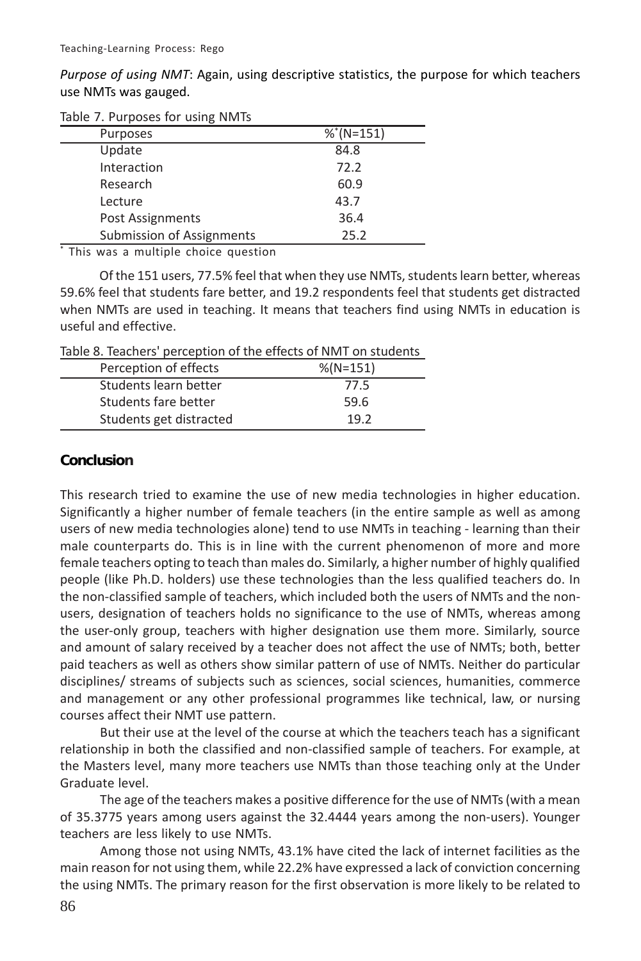*Purpose of using NMT*: Again, using descriptive statistics, the purpose for which teachers use NMTs was gauged.

| Purposes                  | $\%^*$ (N=151) |
|---------------------------|----------------|
| Update                    | 84.8           |
| Interaction               | 72.2           |
| Research                  | 60.9           |
| Lecture                   | 43.7           |
| Post Assignments          | 36.4           |
| Submission of Assignments | 25.2           |
| .                         |                |

Table 7. Purposes for using NMTs

\* This was a multiple choice question

Of the 151 users, 77.5% feel that when they use NMTs, students learn better, whereas 59.6% feel that students fare better, and 19.2 respondents feel that students get distracted when NMTs are used in teaching. It means that teachers find using NMTs in education is useful and effective.

| Table of reachers perception or the eneces of nini-on stagents |             |
|----------------------------------------------------------------|-------------|
| Perception of effects                                          | $%$ (N=151) |
| Students learn better                                          | 77.5        |
| Students fare better                                           | 59.6        |
| Students get distracted                                        | 19.2        |

Table 8. Teachers' perception of the effects of NMT on students

### **Conclusion**

This research tried to examine the use of new media technologies in higher education. Significantly a higher number of female teachers (in the entire sample as well as among users of new media technologies alone) tend to use NMTs in teaching - learning than their male counterparts do. This is in line with the current phenomenon of more and more female teachers opting to teach than males do. Similarly, a higher number of highly qualified people (like Ph.D. holders) use these technologies than the less qualified teachers do. In the non-classified sample of teachers, which included both the users of NMTs and the nonusers, designation of teachers holds no significance to the use of NMTs, whereas among the user-only group, teachers with higher designation use them more. Similarly, source and amount of salary received by a teacher does not affect the use of NMTs; both, better paid teachers as well as others show similar pattern of use of NMTs. Neither do particular disciplines/ streams of subjects such as sciences, social sciences, humanities, commerce and management or any other professional programmes like technical, law, or nursing courses affect their NMT use pattern.

But their use at the level of the course at which the teachers teach has a significant relationship in both the classified and non-classified sample of teachers. For example, at the Masters level, many more teachers use NMTs than those teaching only at the Under Graduate level.

The age of the teachers makes a positive difference for the use of NMTs (with a mean of 35.3775 years among users against the 32.4444 years among the non-users). Younger teachers are less likely to use NMTs.

Among those not using NMTs, 43.1% have cited the lack of internet facilities as the main reason for not using them, while 22.2% have expressed a lack of conviction concerning the using NMTs. The primary reason for the first observation is more likely to be related to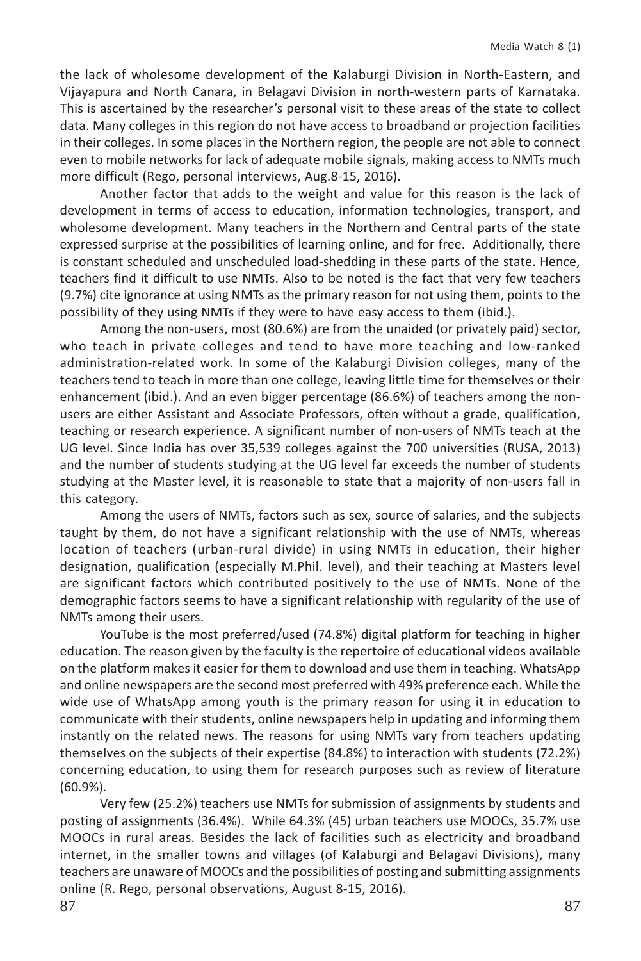the lack of wholesome development of the Kalaburgi Division in North-Eastern, and Vijayapura and North Canara, in Belagavi Division in north-western parts of Karnataka. This is ascertained by the researcher's personal visit to these areas of the state to collect data. Many colleges in this region do not have access to broadband or projection facilities in their colleges. In some places in the Northern region, the people are not able to connect even to mobile networks for lack of adequate mobile signals, making access to NMTs much more difficult (Rego, personal interviews, Aug.8-15, 2016).

Another factor that adds to the weight and value for this reason is the lack of development in terms of access to education, information technologies, transport, and wholesome development. Many teachers in the Northern and Central parts of the state expressed surprise at the possibilities of learning online, and for free. Additionally, there is constant scheduled and unscheduled load-shedding in these parts of the state. Hence, teachers find it difficult to use NMTs. Also to be noted is the fact that very few teachers (9.7%) cite ignorance at using NMTs as the primary reason for not using them, points to the possibility of they using NMTs if they were to have easy access to them (ibid.).

Among the non-users, most (80.6%) are from the unaided (or privately paid) sector, who teach in private colleges and tend to have more teaching and low-ranked administration-related work. In some of the Kalaburgi Division colleges, many of the teachers tend to teach in more than one college, leaving little time for themselves or their enhancement (ibid.). And an even bigger percentage (86.6%) of teachers among the nonusers are either Assistant and Associate Professors, often without a grade, qualification, teaching or research experience. A significant number of non-users of NMTs teach at the UG level. Since India has over 35,539 colleges against the 700 universities (RUSA, 2013) and the number of students studying at the UG level far exceeds the number of students studying at the Master level, it is reasonable to state that a majority of non-users fall in this category.

Among the users of NMTs, factors such as sex, source of salaries, and the subjects taught by them, do not have a significant relationship with the use of NMTs, whereas location of teachers (urban-rural divide) in using NMTs in education, their higher designation, qualification (especially M.Phil. level), and their teaching at Masters level are significant factors which contributed positively to the use of NMTs. None of the demographic factors seems to have a significant relationship with regularity of the use of NMTs among their users.

YouTube is the most preferred/used (74.8%) digital platform for teaching in higher education. The reason given by the faculty is the repertoire of educational videos available on the platform makes it easier for them to download and use them in teaching. WhatsApp and online newspapers are the second most preferred with 49% preference each. While the wide use of WhatsApp among youth is the primary reason for using it in education to communicate with their students, online newspapers help in updating and informing them instantly on the related news. The reasons for using NMTs vary from teachers updating themselves on the subjects of their expertise (84.8%) to interaction with students (72.2%) concerning education, to using them for research purposes such as review of literature (60.9%).

Very few (25.2%) teachers use NMTs for submission of assignments by students and posting of assignments (36.4%). While 64.3% (45) urban teachers use MOOCs, 35.7% use MOOCs in rural areas. Besides the lack of facilities such as electricity and broadband internet, in the smaller towns and villages (of Kalaburgi and Belagavi Divisions), many teachers are unaware of MOOCs and the possibilities of posting and submitting assignments online (R. Rego, personal observations, August 8-15, 2016).